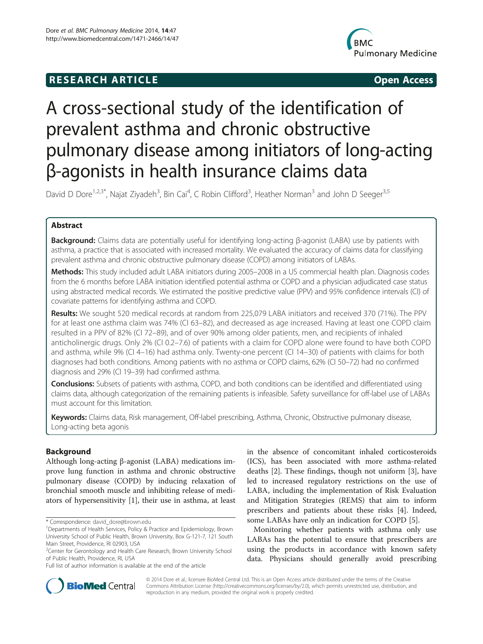## **RESEARCH ARTICLE Example 2014 CONSIDERING CONSIDERING CONSIDERING CONSIDERING CONSIDERING CONSIDERING CONSIDERING CONSIDERING CONSIDERING CONSIDERING CONSIDERING CONSIDERING CONSIDERING CONSIDERING CONSIDERING CONSIDE**



# A cross-sectional study of the identification of prevalent asthma and chronic obstructive pulmonary disease among initiators of long-acting β-agonists in health insurance claims data

David D Dore<sup>1,2,3\*</sup>, Najat Ziyadeh<sup>3</sup>, Bin Cai<sup>4</sup>, C Robin Clifford<sup>3</sup>, Heather Norman<sup>3</sup> and John D Seeger<sup>3,5</sup>

## Abstract

Background: Claims data are potentially useful for identifying long-acting β-agonist (LABA) use by patients with asthma, a practice that is associated with increased mortality. We evaluated the accuracy of claims data for classifying prevalent asthma and chronic obstructive pulmonary disease (COPD) among initiators of LABAs.

Methods: This study included adult LABA initiators during 2005–2008 in a US commercial health plan. Diagnosis codes from the 6 months before LABA initiation identified potential asthma or COPD and a physician adjudicated case status using abstracted medical records. We estimated the positive predictive value (PPV) and 95% confidence intervals (CI) of covariate patterns for identifying asthma and COPD.

Results: We sought 520 medical records at random from 225,079 LABA initiators and received 370 (71%). The PPV for at least one asthma claim was 74% (CI 63–82), and decreased as age increased. Having at least one COPD claim resulted in a PPV of 82% (CI 72–89), and of over 90% among older patients, men, and recipients of inhaled anticholinergic drugs. Only 2% (CI 0.2–7.6) of patients with a claim for COPD alone were found to have both COPD and asthma, while 9% (CI 4–16) had asthma only. Twenty-one percent (CI 14–30) of patients with claims for both diagnoses had both conditions. Among patients with no asthma or COPD claims, 62% (CI 50–72) had no confirmed diagnosis and 29% (CI 19–39) had confirmed asthma.

Conclusions: Subsets of patients with asthma, COPD, and both conditions can be identified and differentiated using claims data, although categorization of the remaining patients is infeasible. Safety surveillance for off-label use of LABAs must account for this limitation.

Keywords: Claims data, Risk management, Off-label prescribing, Asthma, Chronic, Obstructive pulmonary disease, Long-acting beta agonis

## Background

Although long-acting β-agonist (LABA) medications improve lung function in asthma and chronic obstructive pulmonary disease (COPD) by inducing relaxation of bronchial smooth muscle and inhibiting release of mediators of hypersensitivity [[1\]](#page-11-0), their use in asthma, at least

in the absence of concomitant inhaled corticosteroids (ICS), has been associated with more asthma-related deaths [[2](#page-11-0)]. These findings, though not uniform [\[3](#page-11-0)], have led to increased regulatory restrictions on the use of LABA, including the implementation of Risk Evaluation and Mitigation Strategies (REMS) that aim to inform prescribers and patients about these risks [\[4](#page-11-0)]. Indeed, some LABAs have only an indication for COPD [[5\]](#page-11-0).

Monitoring whether patients with asthma only use LABAs has the potential to ensure that prescribers are using the products in accordance with known safety data. Physicians should generally avoid prescribing



© 2014 Dore et al.; licensee BioMed Central Ltd. This is an Open Access article distributed under the terms of the Creative Commons Attribution License [\(http://creativecommons.org/licenses/by/2.0\)](http://creativecommons.org/licenses/by/2.0), which permits unrestricted use, distribution, and reproduction in any medium, provided the original work is properly credited.

<sup>\*</sup> Correspondence: [david\\_dore@brown.edu](mailto:david_dore@brown.edu) <sup>1</sup>

<sup>&</sup>lt;sup>1</sup>Departments of Health Services, Policy & Practice and Epidemiology, Brown University School of Public Health, Brown University, Box G-121-7, 121 South Main Street, Providence, RI 02903, USA

<sup>&</sup>lt;sup>2</sup>Center for Gerontology and Health Care Research, Brown University School of Public Health, Providence, RI, USA

Full list of author information is available at the end of the article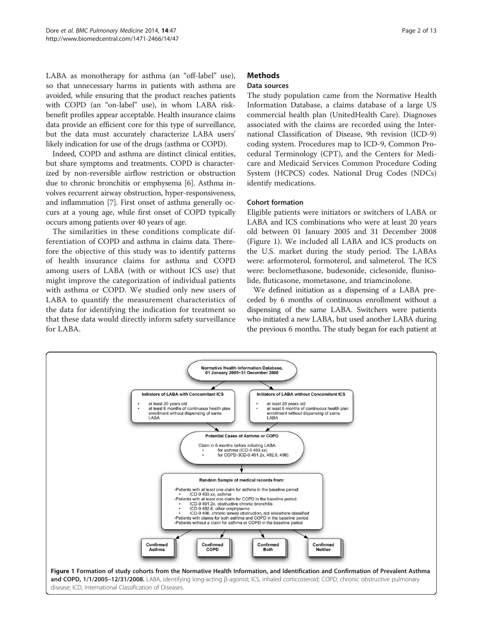LABA as monotherapy for asthma (an "off-label" use), so that unnecessary harms in patients with asthma are avoided, while ensuring that the product reaches patients with COPD (an "on-label" use), in whom LABA riskbenefit profiles appear acceptable. Health insurance claims data provide an efficient core for this type of surveillance, but the data must accurately characterize LABA users' likely indication for use of the drugs (asthma or COPD).

Indeed, COPD and asthma are distinct clinical entities, but share symptoms and treatments. COPD is characterized by non-reversible airflow restriction or obstruction due to chronic bronchitis or emphysema [[6](#page-11-0)]. Asthma involves recurrent airway obstruction, hyper-responsiveness, and inflammation [\[7](#page-11-0)]. First onset of asthma generally occurs at a young age, while first onset of COPD typically occurs among patients over 40 years of age.

The similarities in these conditions complicate differentiation of COPD and asthma in claims data. Therefore the objective of this study was to identify patterns of health insurance claims for asthma and COPD among users of LABA (with or without ICS use) that might improve the categorization of individual patients with asthma or COPD. We studied only new users of LABA to quantify the measurement characteristics of the data for identifying the indication for treatment so that these data would directly inform safety surveillance for LABA.

## **Methods**

#### Data sources

The study population came from the Normative Health Information Database, a claims database of a large US commercial health plan (UnitedHealth Care). Diagnoses associated with the claims are recorded using the International Classification of Disease, 9th revision (ICD-9) coding system. Procedures map to ICD-9, Common Procedural Terminology (CPT), and the Centers for Medicare and Medicaid Services Common Procedure Coding System (HCPCS) codes. National Drug Codes (NDCs) identify medications.

## Cohort formation

Eligible patients were initiators or switchers of LABA or LABA and ICS combinations who were at least 20 years old between 01 January 2005 and 31 December 2008 (Figure 1). We included all LABA and ICS products on the U.S. market during the study period. The LABAs were: arformoterol, formoterol, and salmeterol. The ICS were: beclomethasone, budesonide, ciclesonide, flunisolide, fluticasone, mometasone, and triamcinolone.

We defined initiation as a dispensing of a LABA preceded by 6 months of continuous enrollment without a dispensing of the same LABA. Switchers were patients who initiated a new LABA, but used another LABA during the previous 6 months. The study began for each patient at

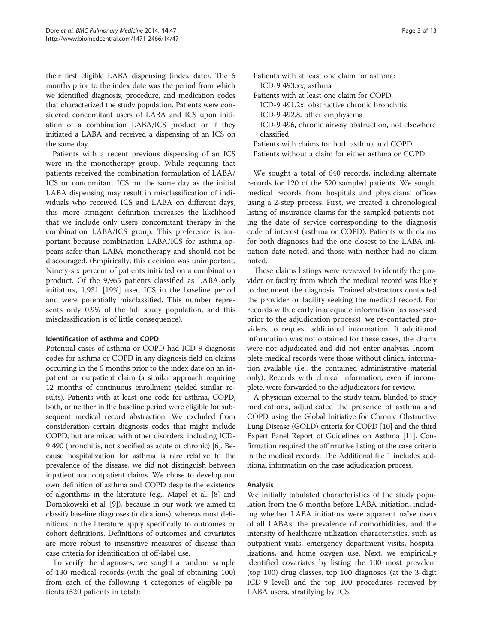their first eligible LABA dispensing (index date). The 6 months prior to the index date was the period from which we identified diagnosis, procedure, and medication codes that characterized the study population. Patients were considered concomitant users of LABA and ICS upon initiation of a combination LABA/ICS product or if they initiated a LABA and received a dispensing of an ICS on the same day.

Patients with a recent previous dispensing of an ICS were in the monotherapy group. While requiring that patients received the combination formulation of LABA/ ICS or concomitant ICS on the same day as the initial LABA dispensing may result in misclassification of individuals who received ICS and LABA on different days, this more stringent definition increases the likelihood that we include only users concomitant therapy in the combination LABA/ICS group. This preference is important because combination LABA/ICS for asthma appears safer than LABA monotherapy and should not be discouraged. (Empirically, this decision was unimportant. Ninety-six percent of patients initiated on a combination product. Of the 9,965 patients classified as LABA-only initiators, 1,931 [19%] used ICS in the baseline period and were potentially misclassified. This number represents only 0.9% of the full study population, and this misclassification is of little consequence).

#### Identification of asthma and COPD

Potential cases of asthma or COPD had ICD-9 diagnosis codes for asthma or COPD in any diagnosis field on claims occurring in the 6 months prior to the index date on an inpatient or outpatient claim (a similar approach requiring 12 months of continuous enrollment yielded similar results). Patients with at least one code for asthma, COPD, both, or neither in the baseline period were eligible for subsequent medical record abstraction. We excluded from consideration certain diagnosis codes that might include COPD, but are mixed with other disorders, including ICD-9 490 (bronchitis, not specified as acute or chronic) [[6](#page-11-0)]. Because hospitalization for asthma is rare relative to the prevalence of the disease, we did not distinguish between inpatient and outpatient claims. We chose to develop our own definition of asthma and COPD despite the existence of algorithms in the literature (e.g., Mapel et al. [[8](#page-11-0)] and Dombkowski et al. [\[9\]](#page-11-0)), because in our work we aimed to classify baseline diagnoses (indications), whereas most definitions in the literature apply specifically to outcomes or cohort definitions. Definitions of outcomes and covariates are more robust to insensitive measures of disease than case criteria for identification of off-label use.

To verify the diagnoses, we sought a random sample of 130 medical records (with the goal of obtaining 100) from each of the following 4 categories of eligible patients (520 patients in total):

- Patients with at least one claim for asthma: ICD-9 493.xx, asthma
- Patients with at least one claim for COPD: ICD-9 491.2x, obstructive chronic bronchitis
	- ICD-9 492.8, other emphysema
	- ICD-9 496, chronic airway obstruction, not elsewhere classified
- Patients with claims for both asthma and COPD

Patients without a claim for either asthma or COPD

We sought a total of 640 records, including alternate records for 120 of the 520 sampled patients. We sought medical records from hospitals and physicians' offices using a 2-step process. First, we created a chronological listing of insurance claims for the sampled patients noting the date of service corresponding to the diagnosis code of interest (asthma or COPD). Patients with claims for both diagnoses had the one closest to the LABA initiation date noted, and those with neither had no claim noted.

These claims listings were reviewed to identify the provider or facility from which the medical record was likely to document the diagnosis. Trained abstractors contacted the provider or facility seeking the medical record. For records with clearly inadequate information (as assessed prior to the adjudication process), we re-contacted providers to request additional information. If additional information was not obtained for these cases, the charts were not adjudicated and did not enter analysis. Incomplete medical records were those without clinical information available (i.e., the contained administrative material only). Records with clinical information, even if incomplete, were forwarded to the adjudicators for review.

A physician external to the study team, blinded to study medications, adjudicated the presence of asthma and COPD using the Global Initiative for Chronic Obstructive Lung Disease (GOLD) criteria for COPD [[10](#page-11-0)] and the third Expert Panel Report of Guidelines on Asthma [\[11](#page-11-0)]. Confirmation required the affirmative listing of the case criteria in the medical records. The Additional file [1](#page-11-0) includes additional information on the case adjudication process.

## Analysis

We initially tabulated characteristics of the study population from the 6 months before LABA initiation, including whether LABA initiators were apparent naïve users of all LABAs, the prevalence of comorbidities, and the intensity of healthcare utilization characteristics, such as outpatient visits, emergency department visits, hospitalizations, and home oxygen use. Next, we empirically identified covariates by listing the 100 most prevalent (top 100) drug classes, top 100 diagnoses (at the 3-digit ICD-9 level) and the top 100 procedures received by LABA users, stratifying by ICS.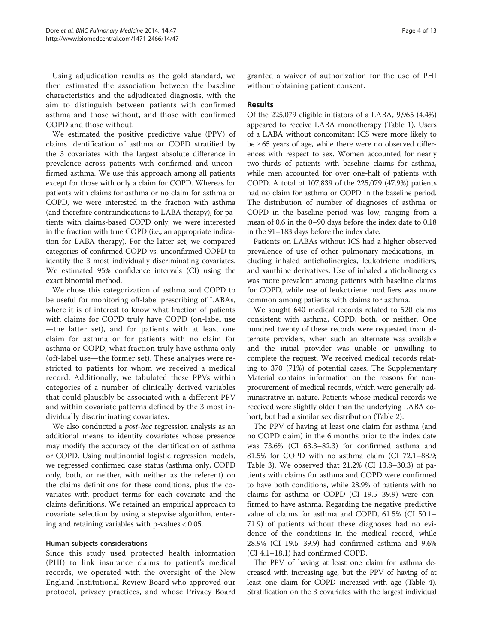Using adjudication results as the gold standard, we then estimated the association between the baseline characteristics and the adjudicated diagnosis, with the aim to distinguish between patients with confirmed asthma and those without, and those with confirmed COPD and those without.

We estimated the positive predictive value (PPV) of claims identification of asthma or COPD stratified by the 3 covariates with the largest absolute difference in prevalence across patients with confirmed and unconfirmed asthma. We use this approach among all patients except for those with only a claim for COPD. Whereas for patients with claims for asthma or no claim for asthma or COPD, we were interested in the fraction with asthma (and therefore contraindications to LABA therapy), for patients with claims-based COPD only, we were interested in the fraction with true COPD (i.e., an appropriate indication for LABA therapy). For the latter set, we compared categories of confirmed COPD vs. unconfirmed COPD to identify the 3 most individually discriminating covariates. We estimated 95% confidence intervals (CI) using the exact binomial method.

We chose this categorization of asthma and COPD to be useful for monitoring off-label prescribing of LABAs, where it is of interest to know what fraction of patients with claims for COPD truly have COPD (on-label use —the latter set), and for patients with at least one claim for asthma or for patients with no claim for asthma or COPD, what fraction truly have asthma only (off-label use—the former set). These analyses were restricted to patients for whom we received a medical record. Additionally, we tabulated these PPVs within categories of a number of clinically derived variables that could plausibly be associated with a different PPV and within covariate patterns defined by the 3 most individually discriminating covariates.

We also conducted a *post-hoc* regression analysis as an additional means to identify covariates whose presence may modify the accuracy of the identification of asthma or COPD. Using multinomial logistic regression models, we regressed confirmed case status (asthma only, COPD only, both, or neither, with neither as the referent) on the claims definitions for these conditions, plus the covariates with product terms for each covariate and the claims definitions. We retained an empirical approach to covariate selection by using a stepwise algorithm, entering and retaining variables with p-values < 0.05.

#### Human subjects considerations

Since this study used protected health information (PHI) to link insurance claims to patient's medical records, we operated with the oversight of the New England Institutional Review Board who approved our protocol, privacy practices, and whose Privacy Board

granted a waiver of authorization for the use of PHI without obtaining patient consent.

#### Results

Of the 225,079 eligible initiators of a LABA, 9,965 (4.4%) appeared to receive LABA monotherapy (Table [1](#page-4-0)). Users of a LABA without concomitant ICS were more likely to  $be \ge 65$  years of age, while there were no observed differences with respect to sex. Women accounted for nearly two-thirds of patients with baseline claims for asthma, while men accounted for over one-half of patients with COPD. A total of 107,839 of the 225,079 (47.9%) patients had no claim for asthma or COPD in the baseline period. The distribution of number of diagnoses of asthma or COPD in the baseline period was low, ranging from a mean of 0.6 in the 0–90 days before the index date to 0.18 in the 91–183 days before the index date.

Patients on LABAs without ICS had a higher observed prevalence of use of other pulmonary medications, including inhaled anticholinergics, leukotriene modifiers, and xanthine derivatives. Use of inhaled anticholinergics was more prevalent among patients with baseline claims for COPD, while use of leukotriene modifiers was more common among patients with claims for asthma.

We sought 640 medical records related to 520 claims consistent with asthma, COPD, both, or neither. One hundred twenty of these records were requested from alternate providers, when such an alternate was available and the initial provider was unable or unwilling to complete the request. We received medical records relating to 370 (71%) of potential cases. The Supplementary Material contains information on the reasons for nonprocurement of medical records, which were generally administrative in nature. Patients whose medical records we received were slightly older than the underlying LABA cohort, but had a similar sex distribution (Table [2\)](#page-6-0).

The PPV of having at least one claim for asthma (and no COPD claim) in the 6 months prior to the index date was 73.6% (CI 63.3–82.3) for confirmed asthma and 81.5% for COPD with no asthma claim (CI 72.1–88.9; Table [3\)](#page-6-0). We observed that 21.2% (CI 13.8–30.3) of patients with claims for asthma and COPD were confirmed to have both conditions, while 28.9% of patients with no claims for asthma or COPD (CI 19.5–39.9) were confirmed to have asthma. Regarding the negative predictive value of claims for asthma and COPD, 61.5% (CI 50.1– 71.9) of patients without these diagnoses had no evidence of the conditions in the medical record, while 28.9% (CI 19.5–39.9) had confirmed asthma and 9.6% (CI 4.1–18.1) had confirmed COPD.

The PPV of having at least one claim for asthma decreased with increasing age, but the PPV of having of at least one claim for COPD increased with age (Table [4](#page-7-0)). Stratification on the 3 covariates with the largest individual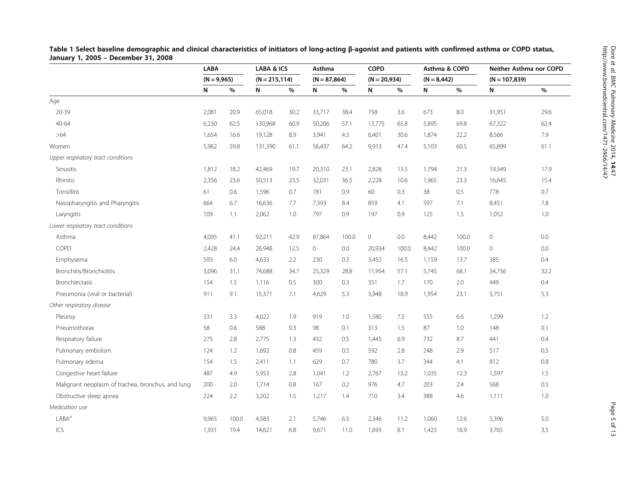|                                                   | <b>LABA</b> |               | <b>LABA &amp; ICS</b> |                  | Asthma         |       | COPD           |       |               | Asthma & COPD |                 | Neither Asthma nor COPD |
|---------------------------------------------------|-------------|---------------|-----------------------|------------------|----------------|-------|----------------|-------|---------------|---------------|-----------------|-------------------------|
|                                                   |             | $(N = 9,965)$ |                       | $(N = 215, 114)$ | $(N = 87,864)$ |       | $(N = 20,934)$ |       | $(N = 8,442)$ |               | $(N = 107,839)$ |                         |
|                                                   | N           | $\%$          | N                     | $\%$             | N              | $\%$  | N              | %     | N             | $\%$          | N               | $\%$                    |
| Age                                               |             |               |                       |                  |                |       |                |       |               |               |                 |                         |
| $20 - 39$                                         | 2,081       | 20.9          | 65,018                | 30.2             | 33,717         | 38.4  | 758            | 3.6   | 673           | 8.0           | 31,951          | 29.6                    |
| 40-64                                             | 6,230       | 62.5          | 130,968               | 60.9             | 50,206         | 57.1  | 13,775         | 65.8  | 5,895         | 69.8          | 67,322          | 62.4                    |
| $>64$                                             | 1,654       | 16.6          | 19,128                | 8.9              | 3,941          | 4.5   | 6,401          | 30.6  | 1,874         | 22.2          | 8,566           | 7.9                     |
| Women                                             | 5,962       | 59.8          | 131,390               | 61.1             | 56,437         | 64.2  | 9,913          | 47.4  | 5,103         | 60.5          | 65,899          | 61.1                    |
| Upper respiratory tract conditions                |             |               |                       |                  |                |       |                |       |               |               |                 |                         |
| Sinusitis                                         | 1,812       | 18.2          | 42,469                | 19.7             | 20,310         | 23.1  | 2,828          | 13.5  | 1,794         | 21.3          | 19,349          | 17.9                    |
| Rhinitis                                          | 2,356       | 23.6          | 50,513                | 23.5             | 32,031         | 36.5  | 2,228          | 10.6  | 1,965         | 23.3          | 16,645          | 15.4                    |
| Tonsillitis                                       | 61          | 0.6           | 1,596                 | 0.7              | 781            | 0.9   | 60             | 0.3   | 38            | 0.5           | 778             | 0.7                     |
| Nasopharyngitis and Pharyngitis                   | 664         | 6.7           | 16,636                | 7.7              | 7,393          | 8.4   | 859            | 4.1   | 597           | 7.1           | 8,451           | 7.8                     |
| Laryngitis                                        | 109         | 1.1           | 2,062                 | $1.0$            | 797            | 0.9   | 197            | 0.9   | 125           | 1.5           | 1,052           | 1.0                     |
| Lower respiratory tract conditions                |             |               |                       |                  |                |       |                |       |               |               |                 |                         |
| Asthma                                            | 4,095       | 41.1          | 92,211                | 42.9             | 87,864         | 100.0 | $\overline{0}$ | 0.0   | 8,442         | 100.0         | $\mathbb O$     | 0.0                     |
| COPD                                              | 2,428       | 24.4          | 26,948                | 12.5             | $\circ$        | 0.0   | 20,934         | 100.0 | 8,442         | 100.0         | $\Omega$        | 0.0                     |
| Emphysema                                         | 593         | 6.0           | 4,633                 | 2.2              | 230            | 0.3   | 3,452          | 16.5  | 1,159         | 13.7          | 385             | 0.4                     |
| Bronchitis/Bronchiolitis                          | 3,096       | 31.1          | 74,688                | 34.7             | 25,329         | 28.8  | 11,954         | 57.1  | 5,745         | 68.1          | 34,756          | 32.2                    |
| <b>Bronchiectasis</b>                             | 154         | 1.5           | 1,116                 | 0.5              | 300            | 0.3   | 351            | 1.7   | 170           | 2.0           | 449             | 0.4                     |
| Pneumonia (viral or bacterial)                    | 911         | 9.1           | 15,371                | 7.1              | 4,629          | 5.3   | 3,948          | 18.9  | 1,954         | 23.1          | 5,751           | 5.3                     |
| Other respiratory disease                         |             |               |                       |                  |                |       |                |       |               |               |                 |                         |
| Pleurisy                                          | 331         | 3.3           | 4,022                 | 1.9              | 919            | 1.0   | 1,580          | 7.5   | 555           | 6.6           | 1,299           | 1.2                     |
| Pneumothorax                                      | 58          | 0.6           | 588                   | 0.3              | 98             | 0.1   | 313            | 1.5   | 87            | $1.0\,$       | 148             | 0.1                     |
| Respiratory failure                               | 275         | 2.8           | 2,775                 | 1.3              | 432            | 0.5   | 1,445          | 6.9   | 732           | 8.7           | 441             | 0.4                     |
| Pulmonary embolism                                | 124         | 1.2           | 1,692                 | 0.8              | 459            | 0.5   | 592            | 2.8   | 248           | 2.9           | 517             | 0.5                     |
| Pulmonary edema                                   | 154         | 1.5           | 2,411                 | 1.1              | 629            | 0.7   | 780            | 3.7   | 344           | 4.1           | 812             | 0.8                     |
| Congestive heart failure                          | 487         | 4.9           | 5,953                 | 2.8              | 1,041          | 1.2   | 2,767          | 13.2  | 1,035         | 12.3          | 1,597           | 1.5                     |
| Malignant neoplasm of trachea, bronchus, and lung | 200         | 2.0           | 1,714                 | 0.8              | 167            | 0.2   | 976            | 4.7   | 203           | 2.4           | 568             | 0.5                     |
| Obstructive sleep apnea                           | 224         | 2.2           | 3,202                 | 1.5              | 1,217          | 1.4   | 710            | 3.4   | 388           | 4.6           | 1,111           | 1.0                     |
| Medication use                                    |             |               |                       |                  |                |       |                |       |               |               |                 |                         |
| $LABA^a$                                          | 9,965       | 100.0         | 4,583                 | 2.1              | 5,746          | 6.5   | 2,346          | 11.2  | 1,060         | 12.6          | 5,396           | 5.0                     |
| ICS                                               | 1,931       | 19.4          | 14,621                | 6.8              | 9,671          | 11.0  | 1,693          | 8.1   | 1,423         | 16.9          | 3,765           | 3.5                     |
|                                                   |             |               |                       |                  |                |       |                |       |               |               |                 |                         |

<span id="page-4-0"></span>Table 1 Select baseline demographic and clinical characteristics of initiators of long-acting β-agonist and patients with confirmed asthma or COPD status, January 1, 2005 – December 31, 2008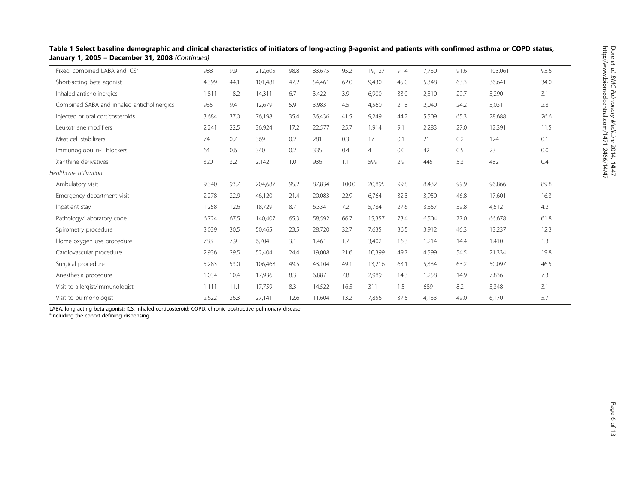| Fixed, combined LABA and ICS <sup>a</sup>  | 988   | 9.9  | 212,605 | 98.8 | 83,675 | 95.2  | 19,127         | 91.4 | 7,730 | 91.6 | 103,061 | 95.6 |
|--------------------------------------------|-------|------|---------|------|--------|-------|----------------|------|-------|------|---------|------|
| Short-acting beta agonist                  | 4,399 | 44.1 | 101,481 | 47.2 | 54,461 | 62.0  | 9,430          | 45.0 | 5,348 | 63.3 | 36,641  | 34.0 |
| Inhaled anticholinergics                   | 1,811 | 18.2 | 14,311  | 6.7  | 3,422  | 3.9   | 6,900          | 33.0 | 2,510 | 29.7 | 3,290   | 3.1  |
| Combined SABA and inhaled anticholinergics | 935   | 9.4  | 12,679  | 5.9  | 3,983  | 4.5   | 4,560          | 21.8 | 2,040 | 24.2 | 3,031   | 2.8  |
| Injected or oral corticosteroids           | 3,684 | 37.0 | 76,198  | 35.4 | 36,436 | 41.5  | 9,249          | 44.2 | 5,509 | 65.3 | 28,688  | 26.6 |
| Leukotriene modifiers                      | 2,241 | 22.5 | 36,924  | 17.2 | 22,577 | 25.7  | 1,914          | 9.1  | 2,283 | 27.0 | 12,391  | 11.5 |
| Mast cell stabilizers                      | 74    | 0.7  | 369     | 0.2  | 281    | 0.3   | 17             | 0.1  | 21    | 0.2  | 124     | 0.1  |
| Immunoglobulin-E blockers                  | 64    | 0.6  | 340     | 0.2  | 335    | 0.4   | $\overline{4}$ | 0.0  | 42    | 0.5  | 23      | 0.0  |
| Xanthine derivatives                       | 320   | 3.2  | 2,142   | 1.0  | 936    | 1.1   | 599            | 2.9  | 445   | 5.3  | 482     | 0.4  |
| Healthcare utilization                     |       |      |         |      |        |       |                |      |       |      |         |      |
| Ambulatory visit                           | 9,340 | 93.7 | 204,687 | 95.2 | 87,834 | 100.0 | 20,895         | 99.8 | 8,432 | 99.9 | 96,866  | 89.8 |
| Emergency department visit                 | 2,278 | 22.9 | 46,120  | 21.4 | 20,083 | 22.9  | 6,764          | 32.3 | 3,950 | 46.8 | 17,601  | 16.3 |
| Inpatient stay                             | 1,258 | 12.6 | 18,729  | 8.7  | 6,334  | 7.2   | 5,784          | 27.6 | 3,357 | 39.8 | 4,512   | 4.2  |
| Pathology/Laboratory code                  | 6,724 | 67.5 | 140,407 | 65.3 | 58,592 | 66.7  | 15,357         | 73.4 | 6,504 | 77.0 | 66,678  | 61.8 |
| Spirometry procedure                       | 3,039 | 30.5 | 50,465  | 23.5 | 28,720 | 32.7  | 7,635          | 36.5 | 3,912 | 46.3 | 13,237  | 12.3 |
| Home oxygen use procedure                  | 783   | 7.9  | 6,704   | 3.1  | 1,461  | 1.7   | 3,402          | 16.3 | 1,214 | 14.4 | 1,410   | 1.3  |
| Cardiovascular procedure                   | 2,936 | 29.5 | 52,404  | 24.4 | 19,008 | 21.6  | 10,399         | 49.7 | 4,599 | 54.5 | 21,334  | 19.8 |
| Surgical procedure                         | 5,283 | 53.0 | 106,468 | 49.5 | 43,104 | 49.1  | 13,216         | 63.1 | 5,334 | 63.2 | 50,097  | 46.5 |
| Anesthesia procedure                       | 1,034 | 10.4 | 17,936  | 8.3  | 6,887  | 7.8   | 2,989          | 14.3 | 1,258 | 14.9 | 7,836   | 7.3  |
| Visit to allergist/immunologist            | 1,111 | 11.1 | 17,759  | 8.3  | 14,522 | 16.5  | 311            | 1.5  | 689   | 8.2  | 3,348   | 3.1  |
| Visit to pulmonologist                     | 2,622 | 26.3 | 27,141  | 12.6 | 11,604 | 13.2  | 7,856          | 37.5 | 4,133 | 49.0 | 6,170   | 5.7  |

Table 1 Select baseline demographic and clinical characteristics of initiators of long-acting β-agonist and patients with confirmed asthma or COPD status, January 1, 2005 – December 31, 2008 (Continued)

LABA, long-acting beta agonist; ICS, inhaled corticosteroid; COPD, chronic obstructive pulmonary disease.

alncluding the cohort-defining dispensing.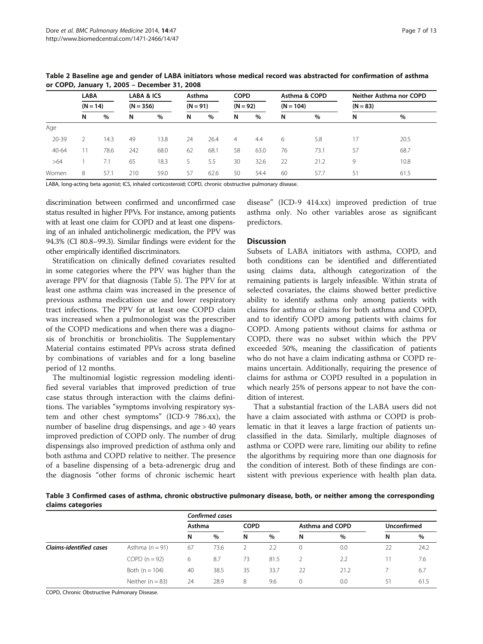|       | <b>LABA</b><br>$(N = 14)$ |      | Asthma<br><b>LABA &amp; ICS</b><br>$(N = 91)$<br>$(N = 356)$ |      | <b>COPD</b> |      | Asthma & COPD  |      |             | Neither Asthma nor COPD |            |      |
|-------|---------------------------|------|--------------------------------------------------------------|------|-------------|------|----------------|------|-------------|-------------------------|------------|------|
|       |                           |      |                                                              |      |             |      | $(N = 92)$     |      | $(N = 104)$ |                         | $(N = 83)$ |      |
|       | N                         | $\%$ | N                                                            | %    | N           | $\%$ | N              | $\%$ | N           | $\%$                    | N          | $\%$ |
| Age   |                           |      |                                                              |      |             |      |                |      |             |                         |            |      |
| 20-39 |                           | 14.3 | 49                                                           | 13.8 | 24          | 26.4 | $\overline{4}$ | 4.4  | 6           | 5.8                     |            | 20.5 |
| 40-64 |                           | 78.6 | 242                                                          | 68.0 | 62          | 68.1 | 58             | 63.0 | 76          | 73.1                    | 57         | 68.7 |
| >64   |                           | 7.1  | 65                                                           | 18.3 | 5           | 5.5  | 30             | 32.6 | 22          | 21.2                    | 9          | 10.8 |
| Women | 8                         | 57.1 | 210                                                          | 59.0 | 57          | 62.6 | 50             | 54.4 | 60          | 57.7                    | 51         | 61.5 |

<span id="page-6-0"></span>Table 2 Baseline age and gender of LABA initiators whose medical record was abstracted for confirmation of asthma or COPD, January 1, 2005 – December 31, 2008

LABA, long-acting beta agonist; ICS, inhaled corticosteroid; COPD, chronic obstructive pulmonary disease.

discrimination between confirmed and unconfirmed case status resulted in higher PPVs. For instance, among patients with at least one claim for COPD and at least one dispensing of an inhaled anticholinergic medication, the PPV was 94.3% (CI 80.8–99.3). Similar findings were evident for the other empirically identified discriminators.

Stratification on clinically defined covariates resulted in some categories where the PPV was higher than the average PPV for that diagnosis (Table [5](#page-9-0)). The PPV for at least one asthma claim was increased in the presence of previous asthma medication use and lower respiratory tract infections. The PPV for at least one COPD claim was increased when a pulmonologist was the prescriber of the COPD medications and when there was a diagnosis of bronchitis or bronchiolitis. The Supplementary Material contains estimated PPVs across strata defined by combinations of variables and for a long baseline period of 12 months.

The multinomial logistic regression modeling identified several variables that improved prediction of true case status through interaction with the claims definitions. The variables "symptoms involving respiratory system and other chest symptoms" (ICD-9 786.xx), the number of baseline drug dispensings, and age > 40 years improved prediction of COPD only. The number of drug dispensings also improved prediction of asthma only and both asthma and COPD relative to neither. The presence of a baseline dispensing of a beta-adrenergic drug and the diagnosis "other forms of chronic ischemic heart

disease" (ICD-9 414.xx) improved prediction of true asthma only. No other variables arose as significant predictors.

## Discussion

Subsets of LABA initiators with asthma, COPD, and both conditions can be identified and differentiated using claims data, although categorization of the remaining patients is largely infeasible. Within strata of selected covariates, the claims showed better predictive ability to identify asthma only among patients with claims for asthma or claims for both asthma and COPD, and to identify COPD among patients with claims for COPD. Among patients without claims for asthma or COPD, there was no subset within which the PPV exceeded 50%, meaning the classification of patients who do not have a claim indicating asthma or COPD remains uncertain. Additionally, requiring the presence of claims for asthma or COPD resulted in a population in which nearly 25% of persons appear to not have the condition of interest.

That a substantial fraction of the LABA users did not have a claim associated with asthma or COPD is problematic in that it leaves a large fraction of patients unclassified in the data. Similarly, multiple diagnoses of asthma or COPD were rare, limiting our ability to refine the algorithms by requiring more than one diagnosis for the condition of interest. Both of these findings are consistent with previous experience with health plan data.

Table 3 Confirmed cases of asthma, chronic obstructive pulmonary disease, both, or neither among the corresponding claims categories

|                                |                    | Confirmed cases |      |             |      |                        |      |             |      |  |  |  |
|--------------------------------|--------------------|-----------------|------|-------------|------|------------------------|------|-------------|------|--|--|--|
|                                |                    | Asthma          |      | <b>COPD</b> |      | <b>Asthma and COPD</b> |      | Unconfirmed |      |  |  |  |
|                                |                    | N               | %    | N           | %    | N                      | $\%$ | N           | $\%$ |  |  |  |
| <b>Claims-identified cases</b> | Asthma $(n = 91)$  | 67              | 73.6 |             | 2.2  | 0                      | 0.0  | 22          | 24.2 |  |  |  |
|                                | $COPD(n=92)$       | 6               | 8.7  | 73          | 81.5 |                        | 2.2  | 11          | 7.6  |  |  |  |
|                                | Both ( $n = 104$ ) | 40              | 38.5 | 35          | 33.7 | 22                     | 21.2 |             | 6.7  |  |  |  |
|                                | Neither $(n = 83)$ | 24              | 28.9 | 8           | 9.6  | $\Omega$               | 0.0  | 51          | 61.5 |  |  |  |

COPD, Chronic Obstructive Pulmonary Disease.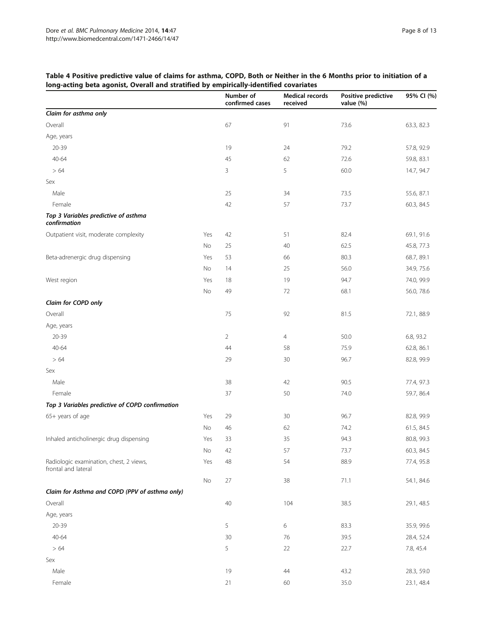|                                                                |     | Number of<br>confirmed cases | <b>Medical records</b><br>received | Positive predictive<br>value (%) | 95% CI (%) |
|----------------------------------------------------------------|-----|------------------------------|------------------------------------|----------------------------------|------------|
| Claim for asthma only                                          |     |                              |                                    |                                  |            |
| Overall                                                        |     | 67                           | 91                                 | 73.6                             | 63.3, 82.3 |
| Age, years                                                     |     |                              |                                    |                                  |            |
| 20-39                                                          |     | 19                           | 24                                 | 79.2                             | 57.8, 92.9 |
| 40-64                                                          |     | 45                           | 62                                 | 72.6                             | 59.8, 83.1 |
| >64                                                            |     | 3                            | 5                                  | 60.0                             | 14.7, 94.7 |
| Sex                                                            |     |                              |                                    |                                  |            |
| Male                                                           |     | 25                           | 34                                 | 73.5                             | 55.6, 87.1 |
| Female                                                         |     | 42                           | 57                                 | 73.7                             | 60.3, 84.5 |
| Top 3 Variables predictive of asthma<br>confirmation           |     |                              |                                    |                                  |            |
| Outpatient visit, moderate complexity                          | Yes | 42                           | 51                                 | 82.4                             | 69.1, 91.6 |
|                                                                | No  | 25                           | 40                                 | 62.5                             | 45.8, 77.3 |
| Beta-adrenergic drug dispensing                                | Yes | 53                           | 66                                 | 80.3                             | 68.7, 89.1 |
|                                                                | No  | 14                           | 25                                 | 56.0                             | 34.9, 75.6 |
| West region                                                    | Yes | 18                           | 19                                 | 94.7                             | 74.0, 99.9 |
|                                                                | No  | 49                           | 72                                 | 68.1                             | 56.0, 78.6 |
| Claim for COPD only                                            |     |                              |                                    |                                  |            |
| Overall                                                        |     | 75                           | 92                                 | 81.5                             | 72.1, 88.9 |
| Age, years                                                     |     |                              |                                    |                                  |            |
| 20-39                                                          |     | 2                            | $\overline{4}$                     | 50.0                             | 6.8, 93.2  |
| 40-64                                                          |     | 44                           | 58                                 | 75.9                             | 62.8, 86.1 |
| >64                                                            |     | 29                           | 30                                 | 96.7                             | 82.8, 99.9 |
| Sex                                                            |     |                              |                                    |                                  |            |
| Male                                                           |     | 38                           | 42                                 | 90.5                             | 77.4, 97.3 |
| Female                                                         |     | 37                           | 50                                 | 74.0                             | 59.7, 86.4 |
| Top 3 Variables predictive of COPD confirmation                |     |                              |                                    |                                  |            |
| 65+ years of age                                               | Yes | 29                           | 30                                 | 96.7                             | 82.8, 99.9 |
|                                                                | No  | 46                           | 62                                 | 74.2                             | 61.5, 84.5 |
| Inhaled anticholinergic drug dispensing                        | Yes | 33                           | 35                                 | 94.3                             | 80.8, 99.3 |
|                                                                | No  | 42                           | 57                                 | 73.7                             | 60.3, 84.5 |
| Radiologic examination, chest, 2 views,<br>frontal and lateral | Yes | 48                           | 54                                 | 88.9                             | 77.4, 95.8 |
|                                                                | No  | 27                           | 38                                 | 71.1                             | 54.1, 84.6 |
| Claim for Asthma and COPD (PPV of asthma only)                 |     |                              |                                    |                                  |            |
| Overall                                                        |     | 40                           | 104                                | 38.5                             | 29.1, 48.5 |
| Age, years                                                     |     |                              |                                    |                                  |            |
| $20 - 39$                                                      |     | 5                            | 6                                  | 83.3                             | 35.9, 99.6 |
| 40-64                                                          |     | 30                           | 76                                 | 39.5                             | 28.4, 52.4 |
| >64                                                            |     | 5                            | 22                                 | 22.7                             | 7.8, 45.4  |
| Sex                                                            |     |                              |                                    |                                  |            |
| Male                                                           |     | 19                           | 44                                 | 43.2                             | 28.3, 59.0 |

Female 21 60 35.0 23.1, 48.4

## <span id="page-7-0"></span>Table 4 Positive predictive value of claims for asthma, COPD, Both or Neither in the 6 Months prior to initiation of a long-acting beta agonist, Overall and stratified by empirically-identified covariates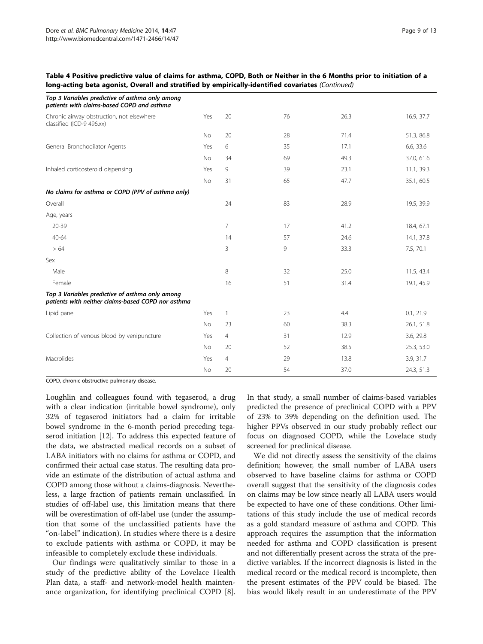| Top 3 Variables predictive of asthma only among<br>patients with claims-based COPD and asthma         |           |                |    |      |            |
|-------------------------------------------------------------------------------------------------------|-----------|----------------|----|------|------------|
| Chronic airway obstruction, not elsewhere<br>classified (ICD-9 496.xx)                                | Yes       | 20             | 76 | 26.3 | 16.9, 37.7 |
|                                                                                                       | <b>No</b> | 20             | 28 | 71.4 | 51.3, 86.8 |
| General Bronchodilator Agents                                                                         | Yes       | 6              | 35 | 17.1 | 6.6, 33.6  |
|                                                                                                       | <b>No</b> | 34             | 69 | 49.3 | 37.0, 61.6 |
| Inhaled corticosteroid dispensing                                                                     | Yes       | 9              | 39 | 23.1 | 11.1, 39.3 |
|                                                                                                       | <b>No</b> | 31             | 65 | 47.7 | 35.1, 60.5 |
| No claims for asthma or COPD (PPV of asthma only)                                                     |           |                |    |      |            |
| Overall                                                                                               |           | 24             | 83 | 28.9 | 19.5, 39.9 |
| Age, years                                                                                            |           |                |    |      |            |
| 20-39                                                                                                 |           | $\overline{7}$ | 17 | 41.2 | 18.4, 67.1 |
| 40-64                                                                                                 |           | 14             | 57 | 24.6 | 14.1, 37.8 |
| >64                                                                                                   |           | 3              | 9  | 33.3 | 7.5, 70.1  |
| Sex                                                                                                   |           |                |    |      |            |
| Male                                                                                                  |           | 8              | 32 | 25.0 | 11.5, 43.4 |
| Female                                                                                                |           | 16             | 51 | 31.4 | 19.1, 45.9 |
| Top 3 Variables predictive of asthma only among<br>patients with neither claims-based COPD nor asthma |           |                |    |      |            |
| Lipid panel                                                                                           | Yes       | 1              | 23 | 4.4  | 0.1, 21.9  |
|                                                                                                       | No        | 23             | 60 | 38.3 | 26.1, 51.8 |
| Collection of venous blood by venipuncture                                                            | Yes       | $\overline{4}$ | 31 | 12.9 | 3.6, 29.8  |
|                                                                                                       | No        | 20             | 52 | 38.5 | 25.3, 53.0 |
| Macrolides                                                                                            | Yes       | $\overline{4}$ | 29 | 13.8 | 3.9, 31.7  |
|                                                                                                       | No        | 20             | 54 | 37.0 | 24.3, 51.3 |

#### Table 4 Positive predictive value of claims for asthma, COPD, Both or Neither in the 6 Months prior to initiation of a long-acting beta agonist, Overall and stratified by empirically-identified covariates (Continued)

COPD, chronic obstructive pulmonary disease.

Loughlin and colleagues found with tegaserod, a drug with a clear indication (irritable bowel syndrome), only 32% of tegaserod initiators had a claim for irritable bowel syndrome in the 6-month period preceding tegaserod initiation [\[12\]](#page-11-0). To address this expected feature of the data, we abstracted medical records on a subset of LABA initiators with no claims for asthma or COPD, and confirmed their actual case status. The resulting data provide an estimate of the distribution of actual asthma and COPD among those without a claims-diagnosis. Nevertheless, a large fraction of patients remain unclassified. In studies of off-label use, this limitation means that there will be overestimation of off-label use (under the assumption that some of the unclassified patients have the "on-label" indication). In studies where there is a desire to exclude patients with asthma or COPD, it may be infeasible to completely exclude these individuals.

Our findings were qualitatively similar to those in a study of the predictive ability of the Lovelace Health Plan data, a staff- and network-model health maintenance organization, for identifying preclinical COPD [\[8](#page-11-0)].

In that study, a small number of claims-based variables predicted the presence of preclinical COPD with a PPV of 23% to 39% depending on the definition used. The higher PPVs observed in our study probably reflect our focus on diagnosed COPD, while the Lovelace study screened for preclinical disease.

We did not directly assess the sensitivity of the claims definition; however, the small number of LABA users observed to have baseline claims for asthma or COPD overall suggest that the sensitivity of the diagnosis codes on claims may be low since nearly all LABA users would be expected to have one of these conditions. Other limitations of this study include the use of medical records as a gold standard measure of asthma and COPD. This approach requires the assumption that the information needed for asthma and COPD classification is present and not differentially present across the strata of the predictive variables. If the incorrect diagnosis is listed in the medical record or the medical record is incomplete, then the present estimates of the PPV could be biased. The bias would likely result in an underestimate of the PPV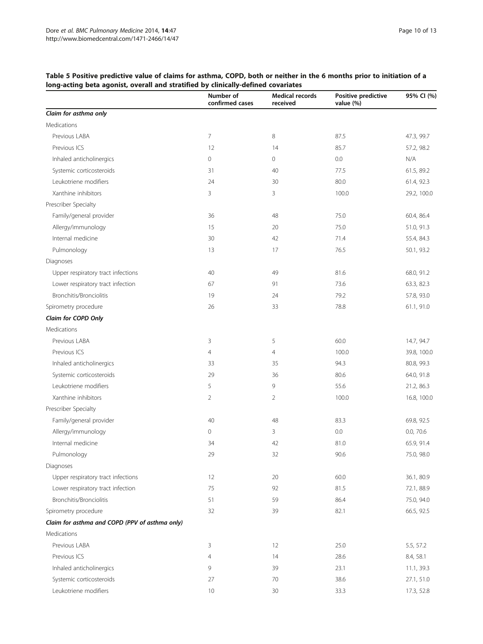|                                                | Number of<br>confirmed cases | <b>Medical records</b><br>received | Positive predictive<br>value (%) | 95% CI (%)  |
|------------------------------------------------|------------------------------|------------------------------------|----------------------------------|-------------|
| Claim for asthma only                          |                              |                                    |                                  |             |
| Medications                                    |                              |                                    |                                  |             |
| Previous LABA                                  | $\overline{7}$               | 8                                  | 87.5                             | 47.3, 99.7  |
| Previous ICS                                   | 12                           | 14                                 | 85.7                             | 57.2, 98.2  |
| Inhaled anticholinergics                       | $\circ$                      | 0                                  | 0.0                              | N/A         |
| Systemic corticosteroids                       | 31                           | 40                                 | 77.5                             | 61.5, 89.2  |
| Leukotriene modifiers                          | 24                           | 30                                 | 80.0                             | 61.4, 92.3  |
| Xanthine inhibitors                            | 3                            | 3                                  | 100.0                            | 29.2, 100.0 |
| Prescriber Specialty                           |                              |                                    |                                  |             |
| Family/general provider                        | 36                           | 48                                 | 75.0                             | 60.4, 86.4  |
| Allergy/immunology                             | 15                           | 20                                 | 75.0                             | 51.0, 91.3  |
| Internal medicine                              | 30                           | 42                                 | 71.4                             | 55.4, 84.3  |
| Pulmonology                                    | 13                           | 17                                 | 76.5                             | 50.1, 93.2  |
| Diagnoses                                      |                              |                                    |                                  |             |
| Upper respiratory tract infections             | 40                           | 49                                 | 81.6                             | 68.0, 91.2  |
| Lower respiratory tract infection              | 67                           | 91                                 | 73.6                             | 63.3, 82.3  |
| Bronchitis/Bronciolitis                        | 19                           | 24                                 | 79.2                             | 57.8, 93.0  |
| Spirometry procedure                           | 26                           | 33                                 | 78.8                             | 61.1, 91.0  |
| Claim for COPD Only                            |                              |                                    |                                  |             |
| Medications                                    |                              |                                    |                                  |             |
| Previous LABA                                  | 3                            | 5                                  | 60.0                             | 14.7, 94.7  |
| Previous ICS                                   | 4                            | $\overline{4}$                     | 100.0                            | 39.8, 100.0 |
| Inhaled anticholinergics                       | 33                           | 35                                 | 94.3                             | 80.8, 99.3  |
| Systemic corticosteroids                       | 29                           | 36                                 | 80.6                             | 64.0, 91.8  |
| Leukotriene modifiers                          | 5                            | 9                                  | 55.6                             | 21.2, 86.3  |
| Xanthine inhibitors                            | 2                            | $\overline{2}$                     | 100.0                            | 16.8, 100.0 |
| Prescriber Specialty                           |                              |                                    |                                  |             |
| Family/general provider                        | 40                           | 48                                 | 83.3                             | 69.8, 92.5  |
| Allergy/immunology                             | $\mathsf{O}\xspace$          | 3                                  | 0.0                              | 0.0, 70.6   |
| Internal medicine                              | 34                           | 42                                 | 81.0                             | 65.9, 91.4  |
| Pulmonology                                    | 29                           | 32                                 | 90.6                             | 75.0, 98.0  |
| Diagnoses                                      |                              |                                    |                                  |             |
| Upper respiratory tract infections             | 12                           | 20                                 | 60.0                             | 36.1, 80.9  |
| Lower respiratory tract infection              | 75                           | 92                                 | 81.5                             | 72.1, 88.9  |
| Bronchitis/Bronciolitis                        | 51                           | 59                                 | 86.4                             | 75.0, 94.0  |
| Spirometry procedure                           | 32                           | 39                                 | 82.1                             | 66.5, 92.5  |
| Claim for asthma and COPD (PPV of asthma only) |                              |                                    |                                  |             |
| Medications                                    |                              |                                    |                                  |             |
| Previous LABA                                  | 3                            | 12                                 | 25.0                             | 5.5, 57.2   |
| Previous ICS                                   | 4                            | 14                                 | 28.6                             | 8.4, 58.1   |
| Inhaled anticholinergics                       | 9                            | 39                                 | 23.1                             | 11.1, 39.3  |
| Systemic corticosteroids                       | 27                           | 70                                 | 38.6                             | 27.1, 51.0  |
| Leukotriene modifiers                          | 10                           | $30\,$                             | 33.3                             | 17.3, 52.8  |

## <span id="page-9-0"></span>Table 5 Positive predictive value of claims for asthma, COPD, both or neither in the 6 months prior to initiation of a long-acting beta agonist, overall and stratified by clinically-defined covariates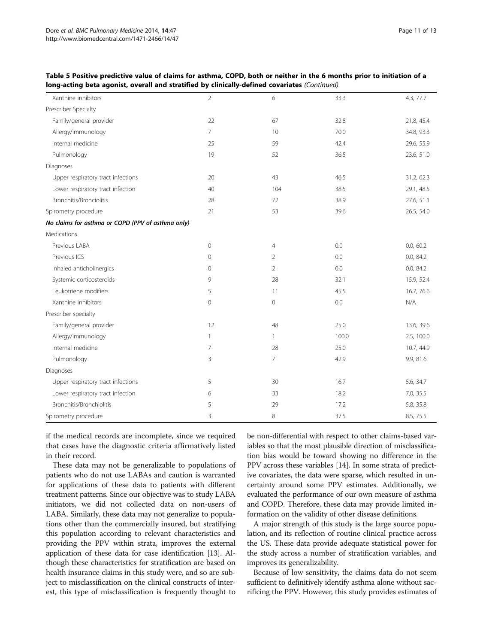| Xanthine inhibitors                               | $\overline{2}$ | 6              | 33.3  | 4.3, 77.7  |
|---------------------------------------------------|----------------|----------------|-------|------------|
| Prescriber Specialty                              |                |                |       |            |
| Family/general provider                           | 22             | 67             | 32.8  | 21.8, 45.4 |
| Allergy/immunology                                | $\overline{7}$ | 10             | 70.0  | 34.8, 93.3 |
| Internal medicine                                 | 25             | 59             | 42.4  | 29.6, 55.9 |
| Pulmonology                                       | 19             | 52             | 36.5  | 23.6, 51.0 |
| Diagnoses                                         |                |                |       |            |
| Upper respiratory tract infections                | 20             | 43             | 46.5  | 31.2, 62.3 |
| Lower respiratory tract infection                 | 40             | 104            | 38.5  | 29.1, 48.5 |
| Bronchitis/Bronciolitis                           | 28             | 72             | 38.9  | 27.6, 51.1 |
| Spirometry procedure                              | 21             | 53             | 39.6  | 26.5, 54.0 |
| No claims for asthma or COPD (PPV of asthma only) |                |                |       |            |
| Medications                                       |                |                |       |            |
| Previous LABA                                     | $\overline{0}$ | $\overline{4}$ | 0.0   | 0.0, 60.2  |
| Previous ICS                                      | $\mathbf 0$    | 2              | 0.0   | 0.0, 84.2  |
| Inhaled anticholinergics                          | $\mathbf{0}$   | $\overline{2}$ | 0.0   | 0.0, 84.2  |
| Systemic corticosteroids                          | 9              | 28             | 32.1  | 15.9, 52.4 |
| Leukotriene modifiers                             | 5              | 11             | 45.5  | 16.7, 76.6 |
| Xanthine inhibitors                               | $\mathbf 0$    | $\mathbf 0$    | 0.0   | N/A        |
| Prescriber specialty                              |                |                |       |            |
| Family/general provider                           | 12             | 48             | 25.0  | 13.6, 39.6 |
| Allergy/immunology                                | $\overline{1}$ | 1              | 100.0 | 2.5, 100.0 |
| Internal medicine                                 | $\overline{7}$ | 28             | 25.0  | 10.7, 44.9 |
| Pulmonology                                       | 3              | $\overline{7}$ | 42.9  | 9.9, 81.6  |
| Diagnoses                                         |                |                |       |            |
| Upper respiratory tract infections                | 5              | 30             | 16.7  | 5.6, 34.7  |
| Lower respiratory tract infection                 | 6              | 33             | 18.2  | 7.0, 35.5  |
| Bronchitis/Bronchiolitis                          | 5              | 29             | 17.2  | 5.8, 35.8  |
| Spirometry procedure                              | 3              | 8              | 37.5  | 8.5, 75.5  |

Table 5 Positive predictive value of claims for asthma, COPD, both or neither in the 6 months prior to initiation of a long-acting beta agonist, overall and stratified by clinically-defined covariates (Continued)

if the medical records are incomplete, since we required that cases have the diagnostic criteria affirmatively listed in their record.

These data may not be generalizable to populations of patients who do not use LABAs and caution is warranted for applications of these data to patients with different treatment patterns. Since our objective was to study LABA initiators, we did not collected data on non-users of LABA. Similarly, these data may not generalize to populations other than the commercially insured, but stratifying this population according to relevant characteristics and providing the PPV within strata, improves the external application of these data for case identification [[13](#page-11-0)]. Although these characteristics for stratification are based on health insurance claims in this study were, and so are subject to misclassification on the clinical constructs of interest, this type of misclassification is frequently thought to be non-differential with respect to other claims-based variables so that the most plausible direction of misclassification bias would be toward showing no difference in the PPV across these variables [\[14\]](#page-12-0). In some strata of predictive covariates, the data were sparse, which resulted in uncertainty around some PPV estimates. Additionally, we evaluated the performance of our own measure of asthma and COPD. Therefore, these data may provide limited information on the validity of other disease definitions.

A major strength of this study is the large source population, and its reflection of routine clinical practice across the US. These data provide adequate statistical power for the study across a number of stratification variables, and improves its generalizability.

Because of low sensitivity, the claims data do not seem sufficient to definitively identify asthma alone without sacrificing the PPV. However, this study provides estimates of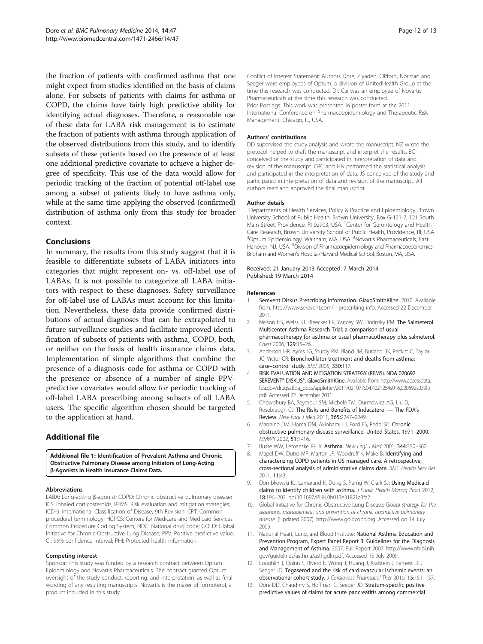<span id="page-11-0"></span>the fraction of patients with confirmed asthma that one might expect from studies identified on the basis of claims alone. For subsets of patients with claims for asthma or COPD, the claims have fairly high predictive ability for identifying actual diagnoses. Therefore, a reasonable use of these data for LABA risk management is to estimate the fraction of patients with asthma through application of the observed distributions from this study, and to identify subsets of these patients based on the presence of at least one additional predictive covariate to achieve a higher degree of specificity. This use of the data would allow for periodic tracking of the fraction of potential off-label use among a subset of patients likely to have asthma only, while at the same time applying the observed (confirmed) distribution of asthma only from this study for broader context.

## Conclusions

In summary, the results from this study suggest that it is feasible to differentiate subsets of LABA initiators into categories that might represent on- vs. off-label use of LABAs. It is not possible to categorize all LABA initiators with respect to these diagnoses. Safety surveillance for off-label use of LABAs must account for this limitation. Nevertheless, these data provide confirmed distributions of actual diagnoses that can be extrapolated to future surveillance studies and facilitate improved identification of subsets of patients with asthma, COPD, both, or neither on the basis of health insurance claims data. Implementation of simple algorithms that combine the presence of a diagnosis code for asthma or COPD with the presence or absence of a number of single PPVpredictive covariates would allow for periodic tracking of off-label LABA prescribing among subsets of all LABA users. The specific algorithm chosen should be targeted to the application at hand.

## Additional file

[Additional file 1:](http://www.biomedcentral.com/content/supplementary/1471-2466-14-47-S1.pdf) Identification of Prevalent Asthma and Chronic Obstructive Pulmonary Disease among Initiators of Long-Acting β-Agonists in Health Insurance Claims Data.

#### Abbreviations

LABA: Long-acting β-agonist; COPD: Chronic obstructive pulmonary disease; ICS: Inhaled corticosteroids; REMS: Risk evaluation and mitigation strategies; ICD-9: International Classification of Disease, 9th Revision; CPT: Common procedural terminology; HCPCS: Centers for Medicare and Medicaid Services Common Procedure Coding System; NDC: National drug code; GOLD: Global Initiative for Chronic Obstructive Lung Disease; PPV: Positive predictive value; CI: 95% confidence interval; PHI: Protected health information.

#### Competing interest

Sponsor: This study was funded by a research contract between Optum Epidemiology and Novartis Pharmaceuticals. The contract granted Optum oversight of the study conduct, reporting, and interpretation, as well as final wording of any resulting manuscripts. Novartis is the maker of formoterol, a product included in this study.

Conflict of Interest Statement: Authors Dore, Ziyadeh, Clifford, Norman and Seeger were employees of Optum, a division of UnitedHealth Group at the time this research was conducted. Dr. Cai was an employee of Novartis Pharmaceuticals at the time this research was conducted. Prior Postings: This work was presented in poster form at the 2011 International Conference on Pharmacoepidemiology and Therapeutic Risk Management, Chicago, IL, USA.

#### Authors' contributions

DD supervised the study analysis and wrote the manuscript. NZ wrote the protocol helped to draft the manuscript and interpret the results. BC conceived of the study and participated in interpretation of data and revision of the manuscript. CRC and HN performed the statistical analysis and participated in the interpretation of data. JS conceived of the study and participated in interpretation of data and revision of the manuscript. All authors read and approved the final manuscript.

#### Author details

<sup>1</sup>Departments of Health Services, Policy & Practice and Epidemiology, Brown University School of Public Health, Brown University, Box G-121-7, 121 South Main Street, Providence, RI 02903, USA. <sup>2</sup> Center for Gerontology and Health Care Research, Brown University School of Public Health, Providence, RI, USA. <sup>3</sup>Optum Epidemiology, Waltham, MA, USA. <sup>4</sup>Novartis Pharmaceuticals, East Hanover, NJ, USA. <sup>5</sup> Division of Pharmacoepidemiology and Pharmacoeconomics Brigham and Women's Hospital/Harvard Medical School, Boston, MA, USA.

#### Received: 21 January 2013 Accepted: 7 March 2014 Published: 19 March 2014

#### References

- 1. Serevent Diskus Prescribing Information. GlaxoSmithKline. 2010. Available from:<http://www.serevent.com/> - prescribing-info. Accessed 22 December 2011.
- 2. Nelson HS, Weiss ST, Bleecker ER, Yancey SW, Dorinsky PM: The Salmeterol Multicenter Asthma Research Trial: a comparison of usual pharmacotherapy for asthma or usual pharmacotherapy plus salmeterol. Chest 2006, 129:15–26.
- 3. Anderson HR, Ayres JG, Sturdy PM, Bland JM, Butland BK, Peckitt C, Taylor JC, Victor CR: Bronchodilator treatment and deaths from asthma: case–control study. BMJ 2005, 330:117.
- 4. RISK EVALUATION AND MITIGATION STRATEGY (REMS). NDA 020692 SEREVENT® DISKUS®. GlaxoSmithKline. Available from: [http://www.accessdata.](http://www.accessdata.fda.gov/drugsatfda_docs/appletter/2011/021077s047,021254s016,020692s039ltr.pdf) [fda.gov/drugsatfda\\_docs/appletter/2011/021077s047,021254s016,020692s039ltr.](http://www.accessdata.fda.gov/drugsatfda_docs/appletter/2011/021077s047,021254s016,020692s039ltr.pdf) [pdf.](http://www.accessdata.fda.gov/drugsatfda_docs/appletter/2011/021077s047,021254s016,020692s039ltr.pdf) Accessed 22 December 2011.
- 5. Chowdhury BA, Seymour SM, Michele TM, Durmowicz AG, Liu D, Rosebraugh CJ: The Risks and Benefits of Indacaterol — The FDA's Review. New Engl J Med 2011, 365:2247–2249.
- 6. Mannino DM, Homa DM, Akinbami LJ, Ford ES, Redd SC: Chronic obstructive pulmonary disease surveillance–United States, 1971–2000. MMWR 2002, 51:1–16.
- 7. Busse WW, Lemanske RF Jr: Asthma. New Engl J Med 2001, 344:350-362.
- 8. Mapel DW, Dutro MP, Marton JP, Woodruff K, Make B: Identifying and characterizing COPD patients in US managed care. A retrospective, cross-sectional analysis of administrative claims data. BMC Health Serv Res 2011, 11:43.
- 9. Dombkowski KJ, Lamarand K, Dong S, Perng W, Clark SJ: Using Medicaid claims to identify children with asthma. J Public Health Manag Pract 2012, 18:196–203. doi:10.1097/PHH.0b013e31821a3fa7.
- 10. Global Initiative for Chronic Obstructive Lung Disease: Global strategy for the diagnosis, management, and prevention of chronic obstructive pulmonary disease. (Updated 2007).<http://www.goldcopd.org>. Accessed on 14 July 2009.
- 11. National Heart, Lung, and Blood Institute: National Asthma Education and Prevention Program, Expert Panel Report 3: Guidelines for the Diagnosis and Management of Asthma. 2007. Full Report 2007. [http://www.nhlbi.nih.](http://www.nhlbi.nih.gov/guidelines/asthma/asthgdln.pdf) [gov/guidelines/asthma/asthgdln.pdf](http://www.nhlbi.nih.gov/guidelines/asthma/asthgdln.pdf). Accessed 15 July 2009.
- 12. Loughlin J, Quinn S, Rivero E, Wong J, Huang J, Kralstein J, Earnest DL, Seeger JD: Tegaserod and the risk of cardiovascular ischemic events: an observational cohort study. J Cardiovasc Pharmacol Ther 2010, 15:151–157.
- 13. Dore DD, Chaudhry S, Hoffman C, Seeger JD: Stratum-specific positive predictive values of claims for acute pancreatitis among commercial